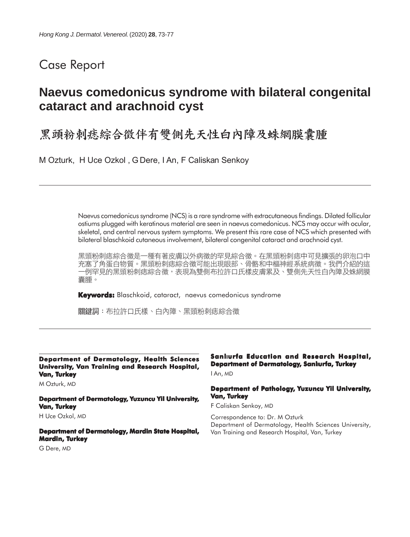# Case Report

# **Naevus comedonicus syndrome with bilateral congenital cataract and arachnoid cyst**

黑頭粉刺痣綜合徵伴有雙側先天性白內障及蛛網膜囊腫

M Ozturk, H Uce Ozkol , G Dere, I An, F Caliskan Senkoy

Naevus comedonicus syndrome (NCS) is a rare syndrome with extracutaneous findings. Dilated follicular ostiums plugged with keratinous material are seen in naevus comedonicus. NCS may occur with ocular, skeletal, and central nervous system symptoms. We present this rare case of NCS which presented with bilateral blaschkoid cutaneous involvement, bilateral congenital cataract and arachnoid cyst.

黑頭粉刺痣綜合徵是一種有著皮膚以外病徵的罕見綜合徵。在黑頭粉刺痣中可見擴張的卵泡口中 充塞了角蛋白物質。黑頭粉刺痣綜合徵可能出現眼部、骨骼和中樞神經系統病徵。我們介紹的這 -例罕見的黑頭粉刺痣綜合徵,表現為雙側布拉許口氏樣皮膚累及、雙側先天性白內障及蛛網膜 囊腫。

**Keywords:** Blaschkoid, cataract, naevus comedonicus syndrome

關鍵詞:布拉許口氏樣、白內障、黑頭粉刺痣綜合徵

#### **Department of Dermatology, Health Sciences University, Van Training and Research Hospital, Van, Turkey**

M Ozturk, MD

**Department of Dermatology, Yuzuncu Yil University, Van, Turkey** H Uce Ozkol, MD

**Department of Dermatology, Mardin State Hospital, Mardin, Turkey**

G Dere, MD

#### **Sanlurfa Education and Research Hospital, Department of Dermatology, Sanlurfa, Turkey**

I An, MD

#### **Department of Pathology, Yuzuncu Yil University, Van, Turkey**

F Caliskan Senkoy, MD

Correspondence to: Dr. M Ozturk Department of Dermatology, Health Sciences University, Van Training and Research Hospital, Van, Turkey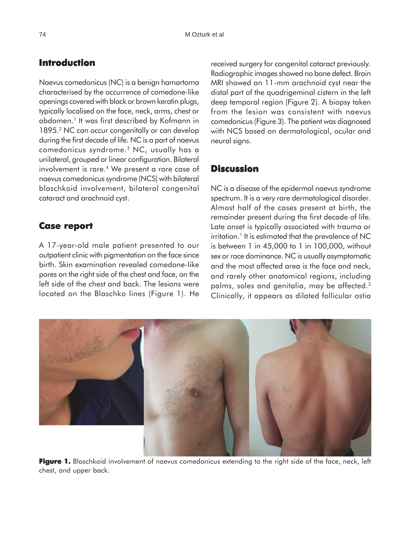## **Introduction**

Naevus comedonicus (NC) is a benign hamartoma characterised by the occurrence of comedone-like openings covered with black or brown keratin plugs, typically localised on the face, neck, arms, chest or abdomen.<sup>1</sup> It was first described by Kofmann in 1895.2 NC can occur congenitally or can develop during the first decade of life. NC is a part of naevus comedonicus syndrome.3 NC, usually has a unilateral, grouped or linear configuration. Bilateral involvement is rare.<sup>4</sup> We present a rare case of naevus comedonicus syndrome (NCS) with bilateral blaschkoid involvement, bilateral congenital cataract and arachnoid cyst.

### **Case report Case**

A 17-year-old male patient presented to our outpatient clinic with pigmentation on the face since birth. Skin examination revealed comedone-like pores on the right side of the chest and face, on the left side of the chest and back. The lesions were located on the Blaschko lines (Figure 1). He received surgery for congenital cataract previously. Radiographic images showed no bone defect. Brain MRI showed an 11-mm arachnoid cyst near the distal part of the quadrigeminal cistern in the left deep temporal region (Figure 2). A biopsy taken from the lesion was consistent with naevus comedonicus (Figure 3). The patient was diagnosed with NCS based on dermatological, ocular and neural signs.

## **Discussion**

NC is a disease of the epidermal naevus syndrome spectrum. It is a very rare dermatological disorder. Almost half of the cases present at birth, the remainder present during the first decade of life. Late onset is typically associated with trauma or irritation.<sup>1</sup> It is estimated that the prevalence of NC is between 1 in 45,000 to 1 in 100,000, without sex or race dominance. NC is usually asymptomatic and the most affected area is the face and neck, and rarely other anatomical regions, including palms, soles and genitalia, may be affected.<sup>3</sup> Clinically, it appears as dilated follicular ostia



**Figure 1.** Blaschkoid involvement of naevus comedonicus extending to the right side of the face, neck, left chest, and upper back.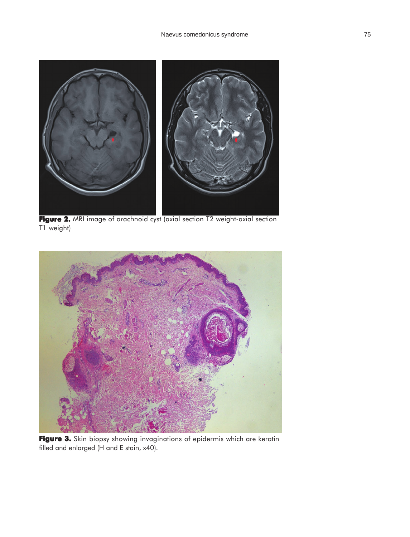

**Figure 2.** MRI image of arachnoid cyst (axial section T2 weight-axial section T1 weight)



**Figure 3. 3.** Skin biopsy showing invaginations of epidermis which are keratin filled and enlarged (H and E stain, x40).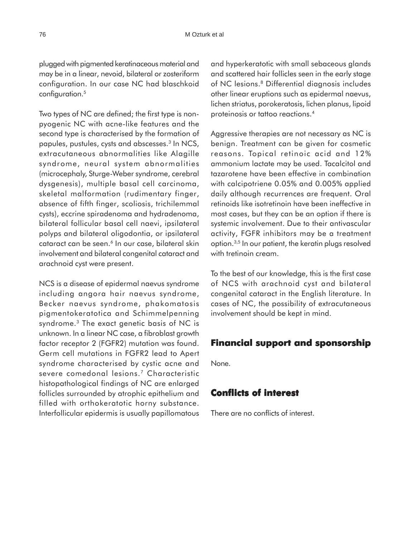plugged with pigmented keratinaceous material and may be in a linear, nevoid, bilateral or zosteriform configuration. In our case NC had blaschkoid configuration.5

Two types of NC are defined; the first type is nonpyogenic NC with acne-like features and the second type is characterised by the formation of papules, pustules, cysts and abscesses.3 In NCS, extracutaneous abnormalities like Alagille syndrome, neural system abnormalities (microcephaly, Sturge-Weber syndrome, cerebral dysgenesis), multiple basal cell carcinoma, skeletal malformation (rudimentary finger, absence of fifth finger, scoliosis, trichilemmal cysts), eccrine spiradenoma and hydradenoma, bilateral follicular basal cell naevi, ipsilateral polyps and bilateral oligodontia, or ipsilateral cataract can be seen.<sup>6</sup> In our case, bilateral skin involvement and bilateral congenital cataract and arachnoid cyst were present.

NCS is a disease of epidermal naevus syndrome including angora hair naevus syndrome, Becker naevus syndrome, phakomatosis pigmentokeratotica and Schimmelpenning syndrome.<sup>3</sup> The exact genetic basis of NC is unknown. In a linear NC case, a fibroblast growth factor receptor 2 (FGFR2) mutation was found. Germ cell mutations in FGFR2 lead to Apert syndrome characterised by cystic acne and severe comedonal lesions.<sup>7</sup> Characteristic histopathological findings of NC are enlarged follicles surrounded by atrophic epithelium and filled with orthokeratotic horny substance. Interfollicular epidermis is usually papillomatous

and hyperkeratotic with small sebaceous glands and scattered hair follicles seen in the early stage of NC lesions.<sup>8</sup> Differential diagnosis includes other linear eruptions such as epidermal naevus, lichen striatus, porokeratosis, lichen planus, lipoid proteinosis or tattoo reactions.4

Aggressive therapies are not necessary as NC is benign. Treatment can be given for cosmetic reasons. Topical retinoic acid and 12% ammonium lactate may be used. Tacalcitol and tazarotene have been effective in combination with calcipotriene 0.05% and 0.005% applied daily although recurrences are frequent. Oral retinoids like isotretinoin have been ineffective in most cases, but they can be an option if there is systemic involvement. Due to their antivascular activity, FGFR inhibitors may be a treatment option.3,5 In our patient, the keratin plugs resolved with tretinoin cream.

To the best of our knowledge, this is the first case of NCS with arachnoid cyst and bilateral congenital cataract in the English literature. In cases of NC, the possibility of extracutaneous involvement should be kept in mind.

### **Financial support and sponsorship**

None.

### **Conflicts of interest Conflicts interest**

There are no conflicts of interest.